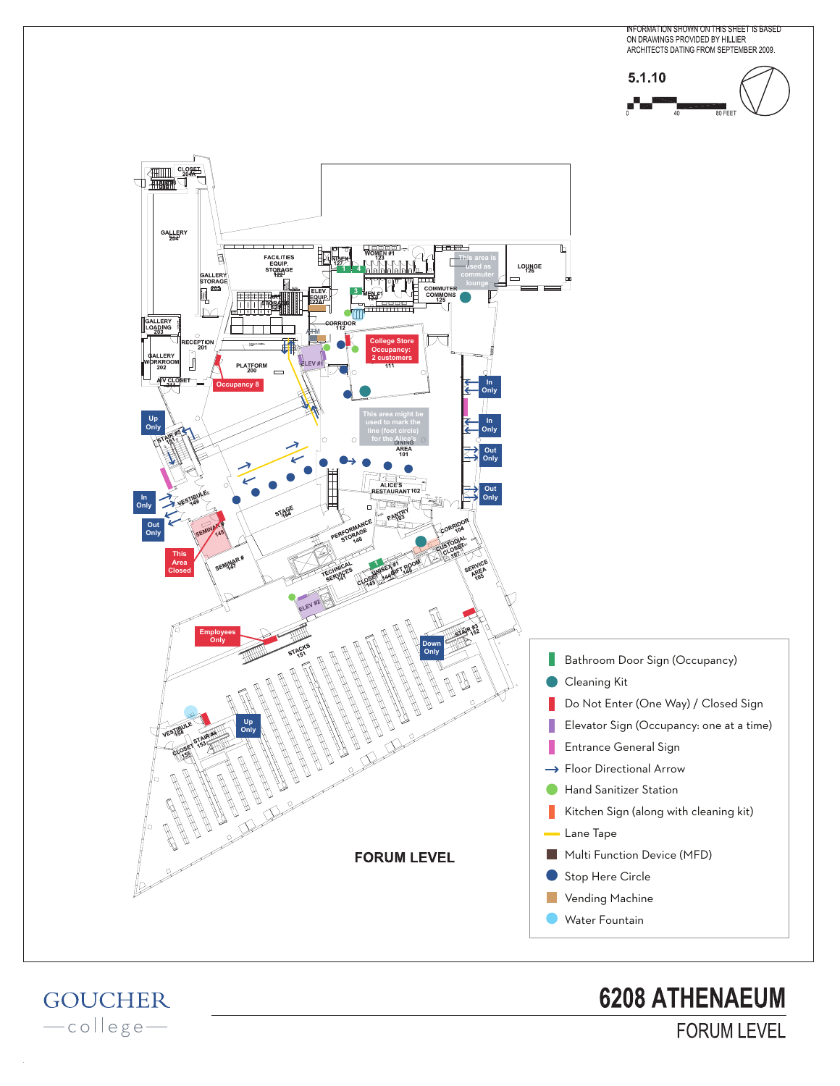

**GOUCHER** -college**6208 ATHENAEUM FORUM LEVEL**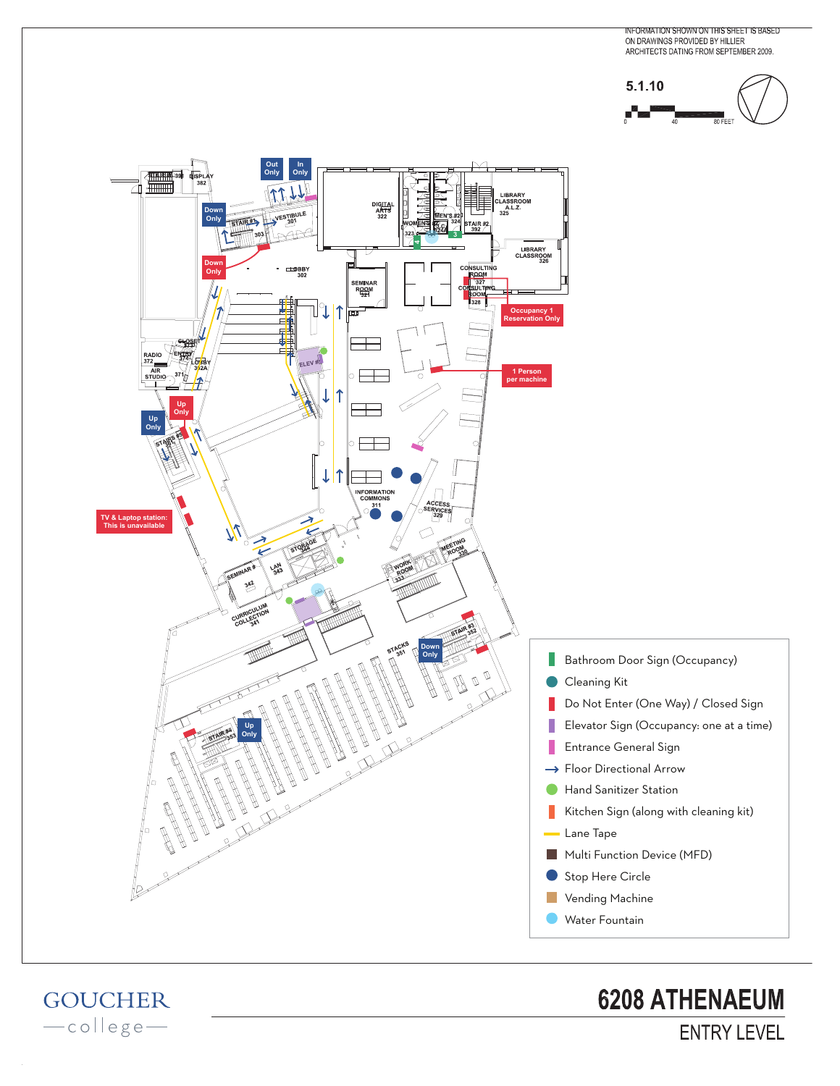





**GOUCHER** -college**6208 ATHENAEUM ENTRY LEVEL**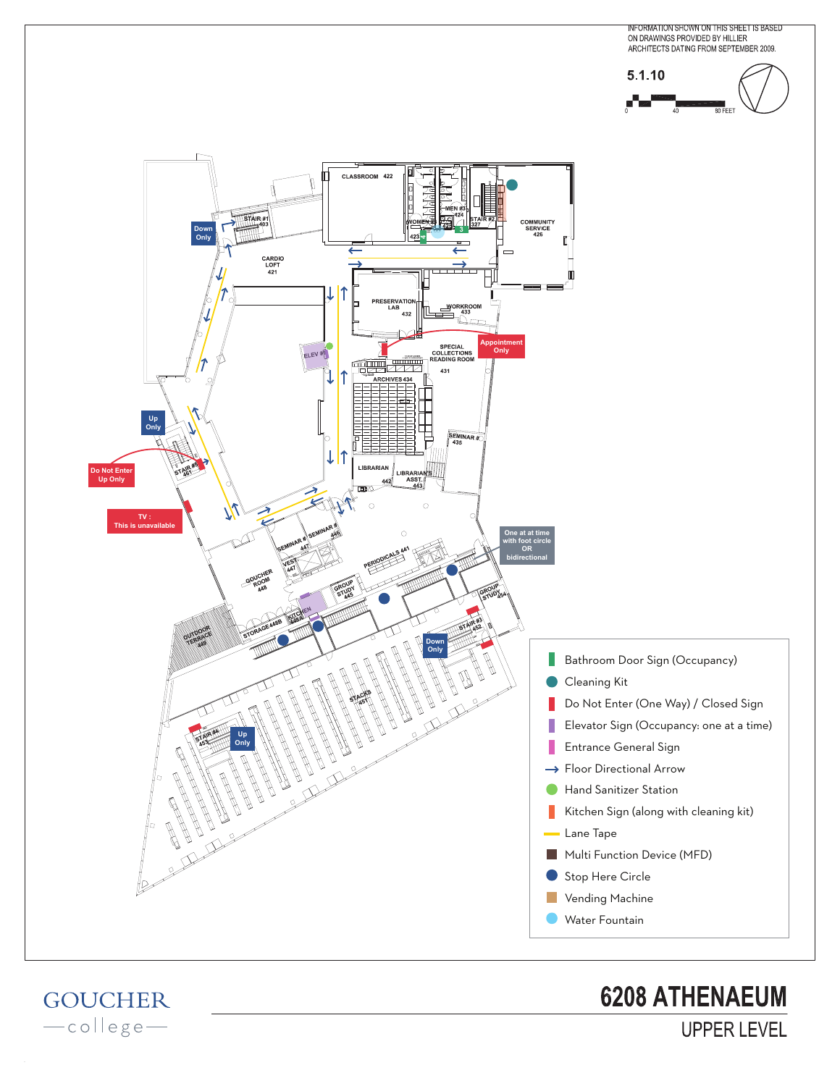

**GOUCHER** -college**6208 ATHENAEUM** 

**UPPER LEVEL**